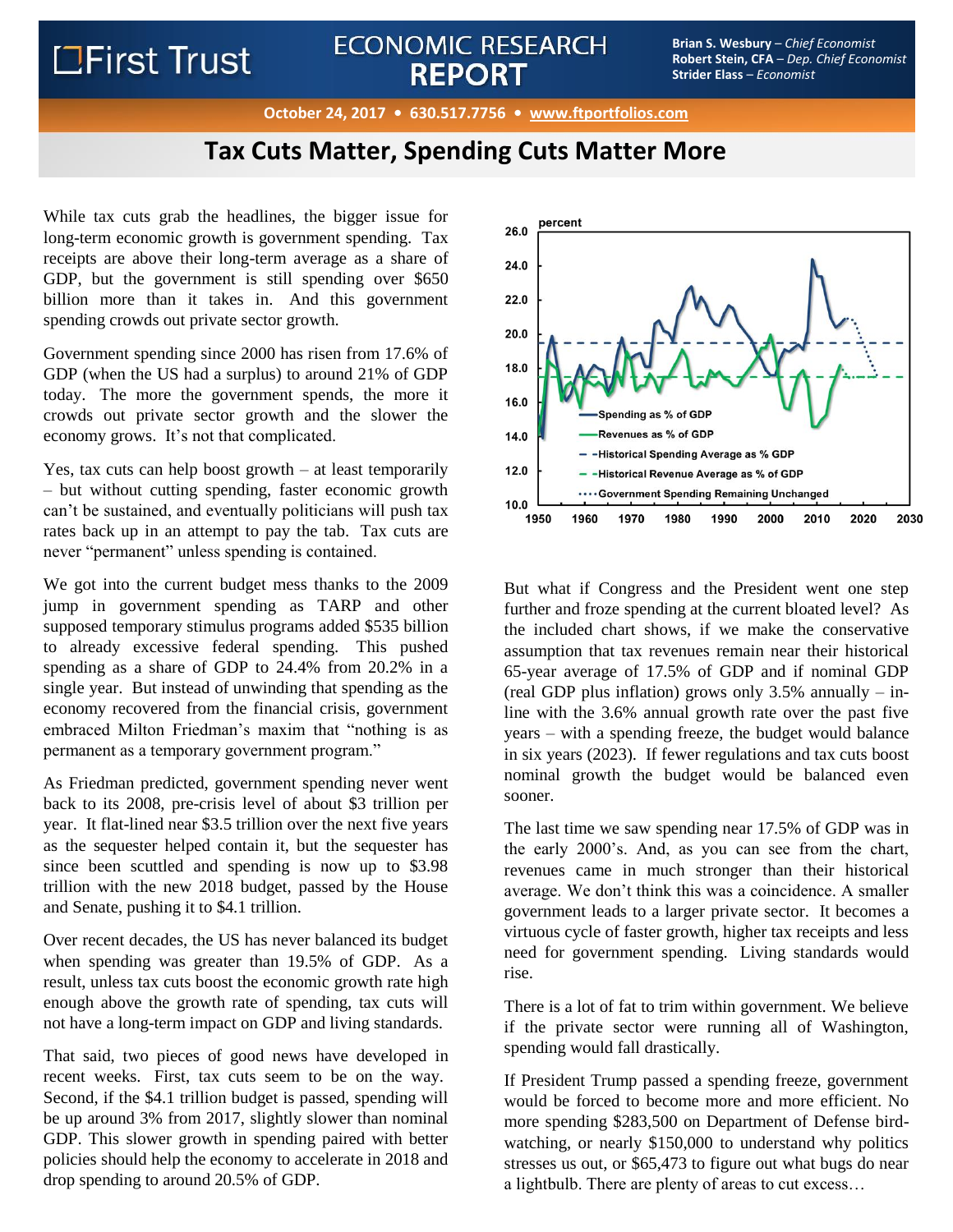## **LEirst Trust**

## **ECONOMIC RESEARCH REPORT**

**Brian S. Wesbury** – *Chief Economist* **Robert Stein, CFA** – *Dep. Chief Economist* **Strider Elass** – *Economist* 

## **October 24, 2017 • 630.517.7756 • [www.ftportfolios.com](http://www.ftportfolioslp.com/)**

## **Tax Cuts Matter, Spending Cuts Matter More**

While tax cuts grab the headlines, the bigger issue for long-term economic growth is government spending. Tax receipts are above their long-term average as a share of GDP, but the government is still spending over \$650 billion more than it takes in. And this government spending crowds out private sector growth.

Government spending since 2000 has risen from 17.6% of GDP (when the US had a surplus) to around 21% of GDP today. The more the government spends, the more it crowds out private sector growth and the slower the economy grows. It's not that complicated.

Yes, tax cuts can help boost growth – at least temporarily – but without cutting spending, faster economic growth can't be sustained, and eventually politicians will push tax rates back up in an attempt to pay the tab. Tax cuts are never "permanent" unless spending is contained.

We got into the current budget mess thanks to the 2009 jump in government spending as TARP and other supposed temporary stimulus programs added \$535 billion to already excessive federal spending. This pushed spending as a share of GDP to 24.4% from 20.2% in a single year. But instead of unwinding that spending as the economy recovered from the financial crisis, government embraced Milton Friedman's maxim that "nothing is as permanent as a temporary government program."

As Friedman predicted, government spending never went back to its 2008, pre-crisis level of about \$3 trillion per year. It flat-lined near \$3.5 trillion over the next five years as the sequester helped contain it, but the sequester has since been scuttled and spending is now up to \$3.98 trillion with the new 2018 budget, passed by the House and Senate, pushing it to \$4.1 trillion.

Over recent decades, the US has never balanced its budget when spending was greater than 19.5% of GDP. As a result, unless tax cuts boost the economic growth rate high enough above the growth rate of spending, tax cuts will not have a long-term impact on GDP and living standards.

That said, two pieces of good news have developed in recent weeks. First, tax cuts seem to be on the way. Second, if the \$4.1 trillion budget is passed, spending will be up around 3% from 2017, slightly slower than nominal GDP. This slower growth in spending paired with better policies should help the economy to accelerate in 2018 and drop spending to around 20.5% of GDP.



But what if Congress and the President went one step further and froze spending at the current bloated level? As the included chart shows, if we make the conservative assumption that tax revenues remain near their historical 65-year average of 17.5% of GDP and if nominal GDP (real GDP plus inflation) grows only 3.5% annually – inline with the 3.6% annual growth rate over the past five years – with a spending freeze, the budget would balance in six years (2023). If fewer regulations and tax cuts boost nominal growth the budget would be balanced even sooner.

The last time we saw spending near 17.5% of GDP was in the early 2000's. And, as you can see from the chart, revenues came in much stronger than their historical average. We don't think this was a coincidence. A smaller government leads to a larger private sector. It becomes a virtuous cycle of faster growth, higher tax receipts and less need for government spending. Living standards would rise.

There is a lot of fat to trim within government. We believe if the private sector were running all of Washington, spending would fall drastically.

If President Trump passed a spending freeze, government would be forced to become more and more efficient. No more spending \$283,500 on Department of Defense birdwatching, or nearly \$150,000 to understand why politics stresses us out, or \$65,473 to figure out what bugs do near a lightbulb. There are plenty of areas to cut excess…